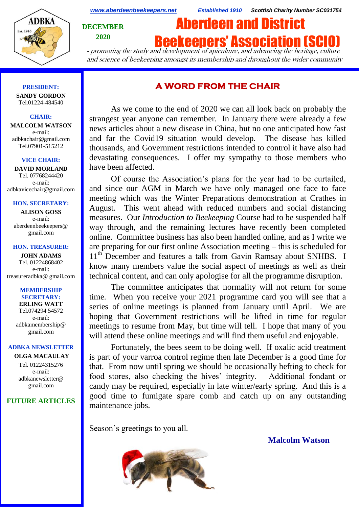

*[www.aberdeenbeekeepers.net](http://www.aberdeenbeekeepers.net/) Established 1910 Scottish Charity Number SC031754*

Aberdeen and District

**Beekeeners' Association (SC** 

**DECEMBER 2020**

# and science of beekeeping amongst its membership and throughout the wider community

- promoting the study and development of apiculture, and advancing the heritage, culture

**PRESIDENT:**

**SANDY GORDON** Tel.01224-484540

#### **CHAIR:**

**MALCOLM WATSON** e-mail: adbkachair@gmail.com Tel.07901-515212

#### **VICE CHAIR:**

**DAVID MORLAND** Tel. 07768244420 e-mail: adbkavicechair@gmail.com

#### **HON. SECRETARY:**

**ALISON GOSS**  e-mail: aberdeenbeekeepers@ gmail.com

#### **HON. TREASURER:**

**JOHN ADAMS** Tel. 01224868402 e-mail: [treasureradbka@ gmail.com](https://e.mail.ru/compose/?mailto=mailto%3atreasureradbka@gmail.com)

#### **MEMBERSHIP SECRETARY:**

**ERLING WATT** Tel.074294 54572 e-mail: [adbkamembership@](mailto:watterlingg@aol.com) [gmail.com](mailto:watterlingg@aol.com)

#### **ADBKA NEWSLETTER**

**OLGA MACAULAY** Tel. 01224315276 e-mail: adbkanewsletter@ gmail.com

## **FUTURE ARTICLES**

# **A WORD FROM THE CHAIR**

As we come to the end of 2020 we can all look back on probably the strangest year anyone can remember. In January there were already a few news articles about a new disease in China, but no one anticipated how fast and far the Covid19 situation would develop. The disease has killed thousands, and Government restrictions intended to control it have also had devastating consequences. I offer my sympathy to those members who have been affected.

Of course the Association's plans for the year had to be curtailed, and since our AGM in March we have only managed one face to face meeting which was the Winter Preparations demonstration at Crathes in August. This went ahead with reduced numbers and social distancing measures. Our *Introduction to Beekeeping* Course had to be suspended half way through, and the remaining lectures have recently been completed online. Committee business has also been handled online, and as I write we are preparing for our first online Association meeting – this is scheduled for 11<sup>th</sup> December and features a talk from Gavin Ramsay about SNHBS. I know many members value the social aspect of meetings as well as their technical content, and can only apologise for all the programme disruption.

The committee anticipates that normality will not return for some time. When you receive your 2021 programme card you will see that a series of online meetings is planned from January until April. We are hoping that Government restrictions will be lifted in time for regular meetings to resume from May, but time will tell. I hope that many of you will attend these online meetings and will find them useful and enjoyable.

Fortunately, the bees seem to be doing well. If oxalic acid treatment is part of your varroa control regime then late December is a good time for that. From now until spring we should be occasionally hefting to check for food stores, also checking the hives' integrity. Additional fondant or candy may be required, especially in late winter/early spring. And this is a good time to fumigate spare comb and catch up on any outstanding maintenance jobs.

Season's greetings to you all.



**Malcolm Watson**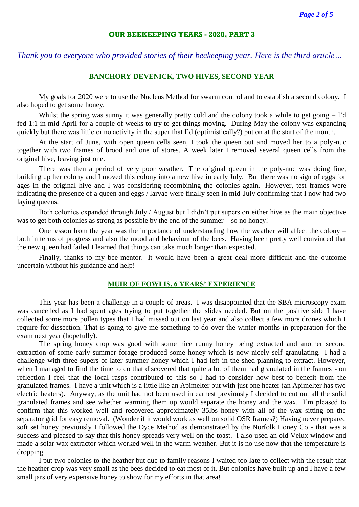#### **OUR BEEKEEPING YEARS - 2020, PART 3**

## *Thank you to everyone who provided stories of their beekeeping year. Here is the third article...*

### **BANCHORY-DEVENICK, TWO HIVES, SECOND YEAR**

My goals for 2020 were to use the Nucleus Method for swarm control and to establish a second colony. I also hoped to get some honey.

Whilst the spring was sunny it was generally pretty cold and the colony took a while to get going – I'd fed 1:1 in mid-April for a couple of weeks to try to get things moving. During May the colony was expanding quickly but there was little or no activity in the super that I'd (optimistically?) put on at the start of the month.

At the start of June, with open queen cells seen, I took the queen out and moved her to a poly-nuc together with two frames of brood and one of stores. A week later I removed several queen cells from the original hive, leaving just one.

There was then a period of very poor weather. The original queen in the poly-nuc was doing fine, building up her colony and I moved this colony into a new hive in early July. But there was no sign of eggs for ages in the original hive and I was considering recombining the colonies again. However, test frames were indicating the presence of a queen and eggs / larvae were finally seen in mid-July confirming that I now had two laying queens.

Both colonies expanded through July / August but I didn't put supers on either hive as the main objective was to get both colonies as strong as possible by the end of the summer – so no honey!

One lesson from the year was the importance of understanding how the weather will affect the colony – both in terms of progress and also the mood and behaviour of the bees. Having been pretty well convinced that the new queen had failed I learned that things can take much longer than expected.

Finally, thanks to my bee-mentor. It would have been a great deal more difficult and the outcome uncertain without his guidance and help!

#### **MUIR OF FOWLIS, 6 YEARS' EXPERIENCE**

This year has been a challenge in a couple of areas. I was disappointed that the SBA microscopy exam was cancelled as I had spent ages trying to put together the slides needed. But on the positive side I have collected some more pollen types that I had missed out on last year and also collect a few more drones which I require for dissection. That is going to give me something to do over the winter months in preparation for the exam next year (hopefully).

The spring honey crop was good with some nice runny honey being extracted and another second extraction of some early summer forage produced some honey which is now nicely self-granulating. I had a challenge with three supers of later summer honey which I had left in the shed planning to extract. However, when I managed to find the time to do that discovered that quite a lot of them had granulated in the frames - on reflection I feel that the local rasps contributed to this so I had to consider how best to benefit from the granulated frames. I have a unit which is a little like an Apimelter but with just one heater (an Apimelter has two electric heaters). Anyway, as the unit had not been used in earnest previously I decided to cut out all the solid granulated frames and see whether warming them up would separate the honey and the wax. I'm pleased to confirm that this worked well and recovered approximately 35lbs honey with all of the wax sitting on the separator grid for easy removal. (Wonder if it would work as well on solid OSR frames?) Having never prepared soft set honey previously I followed the Dyce Method as demonstrated by the Norfolk Honey Co - that was a success and pleased to say that this honey spreads very well on the toast. I also used an old Velux window and made a solar wax extractor which worked well in the warm weather. But it is no use now that the temperature is dropping.

I put two colonies to the heather but due to family reasons I waited too late to collect with the result that the heather crop was very small as the bees decided to eat most of it. But colonies have built up and I have a few small jars of very expensive honey to show for my efforts in that area!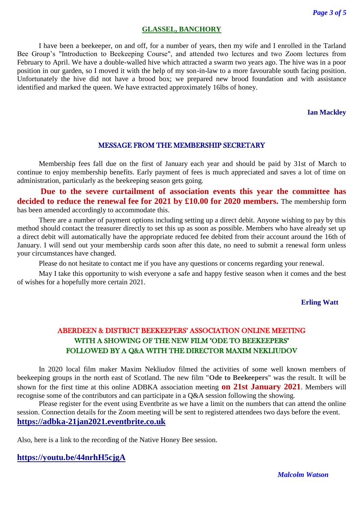## **GLASSEL, BANCHORY**

I have been a beekeeper, on and off, for a number of years, then my wife and I enrolled in the Tarland Bee Group's "Introduction to Beekeeping Course", and attended two lectures and two Zoom lectures from February to April. We have a double-walled hive which attracted a swarm two years ago. The hive was in a poor position in our garden, so I moved it with the help of my son-in-law to a more favourable south facing position. Unfortunately the hive did not have a brood box; we prepared new brood foundation and with assistance identified and marked the queen. We have extracted approximately 16lbs of honey.

## **Ian Mackley**

#### MESSAGE FROM THE MEMBERSHIP SECRETARY

Membership fees fall due on the first of January each year and should be paid by 31st of March to continue to enjoy membership benefits. Early payment of fees is much appreciated and saves a lot of time on administration, particularly as the beekeeping season gets going.

**Due to the severe curtailment of association events this year the committee has decided to reduce the renewal fee for 2021 by £10.00 for 2020 members.** The membership form has been amended accordingly to accommodate this.

There are a number of payment options including setting up a direct debit. Anyone wishing to pay by this method should contact the treasurer directly to set this up as soon as possible. Members who have already set up a direct debit will automatically have the appropriate reduced fee debited from their account around the 16th of January. I will send out your membership cards soon after this date, no need to submit a renewal form unless your circumstances have changed.

Please do not hesitate to contact me if you have any questions or concerns regarding your renewal.

May I take this opportunity to wish everyone a safe and happy festive season when it comes and the best of wishes for a hopefully more certain 2021.

**Erling Watt**

# ABERDEEN & DISTRICT BEEKEEPERS' ASSOCIATION ONLINE MEETING WITH A SHOWING OF THE NEW FILM "ODE TO BEEKEEPERS" FOLLOWED BY A Q&A WITH THE DIRECTOR MAXIM NEKLIUDOV

In 2020 local film maker Maxim Nekliudov filmed the activities of some well known members of beekeeping groups in the north east of Scotland. The new film "**Ode to Beekeepers**" was the result. It will be shown for the first time at this online ADBKA association meeting **on 21st January 2021**. Members will recognise some of the contributors and can participate in a Q&A session following the showing.

Please register for the event using Eventbrite as we have a limit on the numbers that can attend the online session. Connection details for the Zoom meeting will be sent to registered attendees two days before the event. **[https://adbka-21jan2021.eventbrite.co.uk](https://adbka-21jan2021.eventbrite.co.uk/)**

Also, here is a link to the recording of the Native Honey Bee session.

# **<https://youtu.be/44nrhH5cjgA>**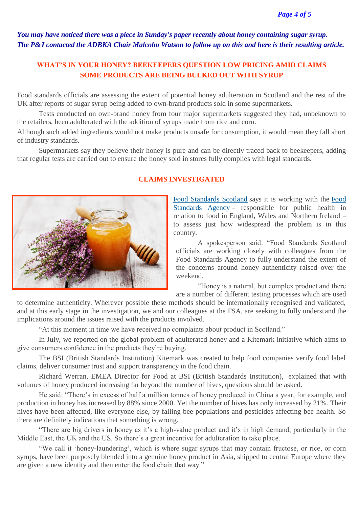# *You may have noticed there was a piece in Sunday's paper recently about honey containing sugar syrup. The P&J contacted the ADBKA Chair Malcolm Watson to follow up on this and here is their resulting article.*

# **WHAT'S IN YOUR HONEY? BEEKEEPERS QUESTION LOW PRICING AMID CLAIMS SOME PRODUCTS ARE BEING BULKED OUT WITH SYRUP**

Food standards officials are assessing the extent of potential honey adulteration in Scotland and the rest of the UK after reports of sugar syrup being added to own-brand products sold in some supermarkets.

Tests conducted on own-brand honey from four major supermarkets suggested they had, unbeknown to the retailers, been adulterated with the addition of syrups made from rice and corn.

Although such added ingredients would not make products unsafe for consumption, it would mean they fall short of industry standards.

Supermarkets say they believe their honey is pure and can be directly traced back to beekeepers, adding that regular tests are carried out to ensure the honey sold in stores fully complies with legal standards.



# **CLAIMS INVESTIGATED**

Food [Standards](https://www.foodstandards.gov.scot/?fbclid=IwAR1quxZoJjztvV8G2DXJtHiserfIhonD8evfwyzhvcoh43SXZ0xlItrJ1gs) Scotland says it is working with the [Food](https://www.food.gov.uk/) [Standards](https://www.food.gov.uk/) Agency – responsible for public health in relation to food in England, Wales and Northern Ireland – to assess just how widespread the problem is in this country.

A spokesperson said: "Food Standards Scotland officials are working closely with colleagues from the Food Standards Agency to fully understand the extent of the concerns around honey authenticity raised over the weekend.

"Honey is a natural, but complex product and there are a number of different testing processes which are used

to determine authenticity. Wherever possible these methods should be internationally recognised and validated, and at this early stage in the investigation, we and our colleagues at the FSA, are seeking to fully understand the implications around the issues raised with the products involved.

"At this moment in time we have received no complaints about product in Scotland."

In July, we reported on the global problem of adulterated honey and a Kitemark initiative which aims to give consumers confidence in the products they're buying.

The BSI (British Standards Institution) Kitemark was created to help food companies verify food label claims, deliver consumer trust and support transparency in the food chain.

Richard Werran, EMEA Director for Food at BSI (British Standards Institution), explained that with volumes of honey produced increasing far beyond the number of hives, questions should be asked.

He said: "There's in excess of half a million tonnes of honey produced in China a year, for example, and production in honey has increased by 88% since 2000. Yet the number of hives has only increased by 21%. Their hives have been affected, like everyone else, by falling bee populations and pesticides affecting bee health. So there are definitely indications that something is wrong.

"There are big drivers in honey as it's a high-value product and it's in high demand, particularly in the Middle East, the UK and the US. So there's a great incentive for adulteration to take place.

"We call it 'honey-laundering', which is where sugar syrups that may contain fructose, or rice, or corn syrups, have been purposely blended into a genuine honey product in Asia, shipped to central Europe where they are given a new identity and then enter the food chain that way."